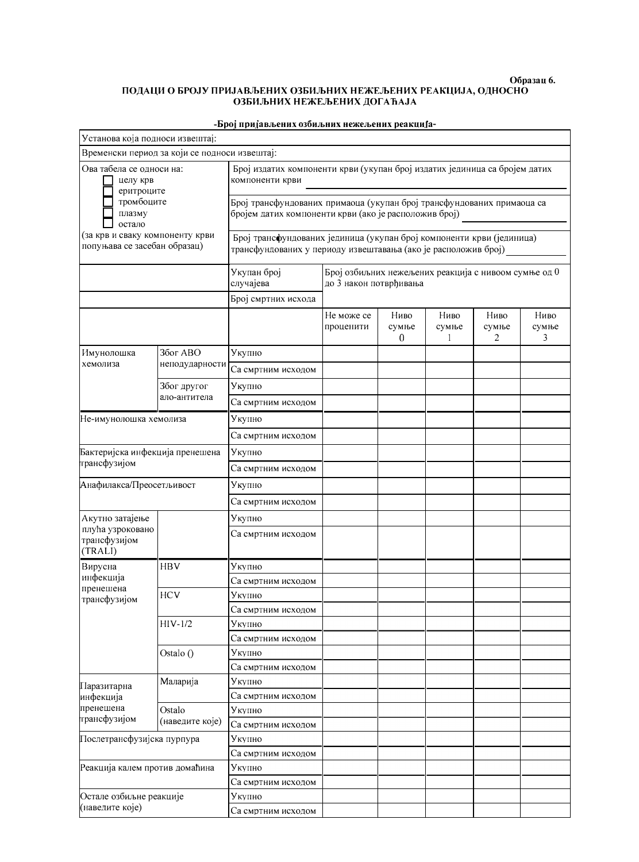## Образац 6. ПОДАЦИ О БРОЈУ ПРИЈАВЉЕНИХ ОЗБИЉНИХ НЕЖЕЉЕНИХ РЕАКЦИЈА, ОДНОСНО<br>ОЗБИЉНИХ НЕЖЕЉЕНИХ ДОГАЋАЈА

| Установа која подноси извештај:                                                                                                                         |                             |                                                                                                                                         |                                                                                |                               |                    |                    |                    |  |  |  |
|---------------------------------------------------------------------------------------------------------------------------------------------------------|-----------------------------|-----------------------------------------------------------------------------------------------------------------------------------------|--------------------------------------------------------------------------------|-------------------------------|--------------------|--------------------|--------------------|--|--|--|
| Временски период за који се подноси извештај:                                                                                                           |                             |                                                                                                                                         |                                                                                |                               |                    |                    |                    |  |  |  |
| Ова табела се односи на:<br>целу крв<br>еритроците<br>тромбоците<br>плазму<br>остало<br>(за крв и сваку компоненту крви<br>попуњава се засебан образац) |                             | Број издатих компоненти крви (укупан број издатих јединица са бројем датих<br>компоненти крви                                           |                                                                                |                               |                    |                    |                    |  |  |  |
|                                                                                                                                                         |                             | Број трансфундованих примаоца (укупан број трансфундованих примаоца са<br>бројем датих компоненти крви (ако је расположив број)         |                                                                                |                               |                    |                    |                    |  |  |  |
|                                                                                                                                                         |                             | Број трансфундованих јединица (укупан број компоненти крви (јединица)<br>трансфундованих у периоду извештавања (ако је расположив број) |                                                                                |                               |                    |                    |                    |  |  |  |
|                                                                                                                                                         |                             | Укупан број<br>случајева                                                                                                                | Број озбиљних нежељених реакција с нивоом сумње од 0<br>до 3 након потврђивања |                               |                    |                    |                    |  |  |  |
|                                                                                                                                                         |                             | Број смртних исхода                                                                                                                     |                                                                                |                               |                    |                    |                    |  |  |  |
|                                                                                                                                                         |                             |                                                                                                                                         | Не може се<br>проценити                                                        | Ниво<br>сумње<br>$\mathbf{0}$ | Ниво<br>сумње<br>1 | Ниво<br>сумње<br>2 | Ниво<br>сумње<br>3 |  |  |  |
| Имунолошка<br>хемолиза                                                                                                                                  | Због ABO<br>неподударности  | Укупно                                                                                                                                  |                                                                                |                               |                    |                    |                    |  |  |  |
|                                                                                                                                                         |                             | Са смртним исходом                                                                                                                      |                                                                                |                               |                    |                    |                    |  |  |  |
|                                                                                                                                                         | Због другог<br>ало-антитела | Укупно                                                                                                                                  |                                                                                |                               |                    |                    |                    |  |  |  |
|                                                                                                                                                         |                             | Са смртним исходом                                                                                                                      |                                                                                |                               |                    |                    |                    |  |  |  |
| Не-имунолошка хемолиза                                                                                                                                  |                             | Укупно                                                                                                                                  |                                                                                |                               |                    |                    |                    |  |  |  |
|                                                                                                                                                         |                             | Са смртним исходом                                                                                                                      |                                                                                |                               |                    |                    |                    |  |  |  |
| Бактеријска инфекција пренешена<br>трансфузијом<br>Анафилакса/Преосетљивост                                                                             |                             | Укупно                                                                                                                                  |                                                                                |                               |                    |                    |                    |  |  |  |
|                                                                                                                                                         |                             | Са смртним исходом                                                                                                                      |                                                                                |                               |                    |                    |                    |  |  |  |
|                                                                                                                                                         |                             | Укупно                                                                                                                                  |                                                                                |                               |                    |                    |                    |  |  |  |
|                                                                                                                                                         |                             | Са смртним исходом                                                                                                                      |                                                                                |                               |                    |                    |                    |  |  |  |
| Акутно затајење                                                                                                                                         |                             | Укупно                                                                                                                                  |                                                                                |                               |                    |                    |                    |  |  |  |
| плућа узроковано<br>трансфузијом<br>(TRALI)                                                                                                             |                             | Са смртним исходом                                                                                                                      |                                                                                |                               |                    |                    |                    |  |  |  |
| Вирусна                                                                                                                                                 | <b>HBV</b>                  | Укупно                                                                                                                                  |                                                                                |                               |                    |                    |                    |  |  |  |
| инфекција<br>пренешена<br>трансфузијом                                                                                                                  |                             | Са смртним исходом                                                                                                                      |                                                                                |                               |                    |                    |                    |  |  |  |
|                                                                                                                                                         | <b>HCV</b>                  | Укупно                                                                                                                                  |                                                                                |                               |                    |                    |                    |  |  |  |
|                                                                                                                                                         |                             | Са смртним исходом                                                                                                                      |                                                                                |                               |                    |                    |                    |  |  |  |
|                                                                                                                                                         | $HIV-1/2$                   | Укупно                                                                                                                                  |                                                                                |                               |                    |                    |                    |  |  |  |
|                                                                                                                                                         | Ostalo ()                   | Са смртним исходом                                                                                                                      |                                                                                |                               |                    |                    |                    |  |  |  |
|                                                                                                                                                         |                             | Укупно                                                                                                                                  |                                                                                |                               |                    |                    |                    |  |  |  |
|                                                                                                                                                         | Маларија                    | Са смртним исходом<br>Укупно                                                                                                            |                                                                                |                               |                    |                    |                    |  |  |  |
| ГІаразитарна<br>инфекција<br>пренешена<br>трансфузијом                                                                                                  |                             | Са смртним исходом                                                                                                                      |                                                                                |                               |                    |                    |                    |  |  |  |
|                                                                                                                                                         | Ostalo<br>(наведите које)   | Укупно                                                                                                                                  |                                                                                |                               |                    |                    |                    |  |  |  |
|                                                                                                                                                         |                             | Са смртним исходом                                                                                                                      |                                                                                |                               |                    |                    |                    |  |  |  |
| Послетрансфузијска пурпура<br>Реакција калем против домаћина                                                                                            |                             | Укупно                                                                                                                                  |                                                                                |                               |                    |                    |                    |  |  |  |
|                                                                                                                                                         |                             | Са смртним исходом                                                                                                                      |                                                                                |                               |                    |                    |                    |  |  |  |
|                                                                                                                                                         |                             | Укупно                                                                                                                                  |                                                                                |                               |                    |                    |                    |  |  |  |
|                                                                                                                                                         |                             | Са смртним исходом                                                                                                                      |                                                                                |                               |                    |                    |                    |  |  |  |
| Остале озбиљне реакције<br>(наведите које)                                                                                                              |                             | Укупно                                                                                                                                  |                                                                                |                               |                    |                    |                    |  |  |  |
|                                                                                                                                                         |                             | Са смртним исходом                                                                                                                      |                                                                                |                               |                    |                    |                    |  |  |  |

## -Број пријављених озбиљних нежељених реакција-